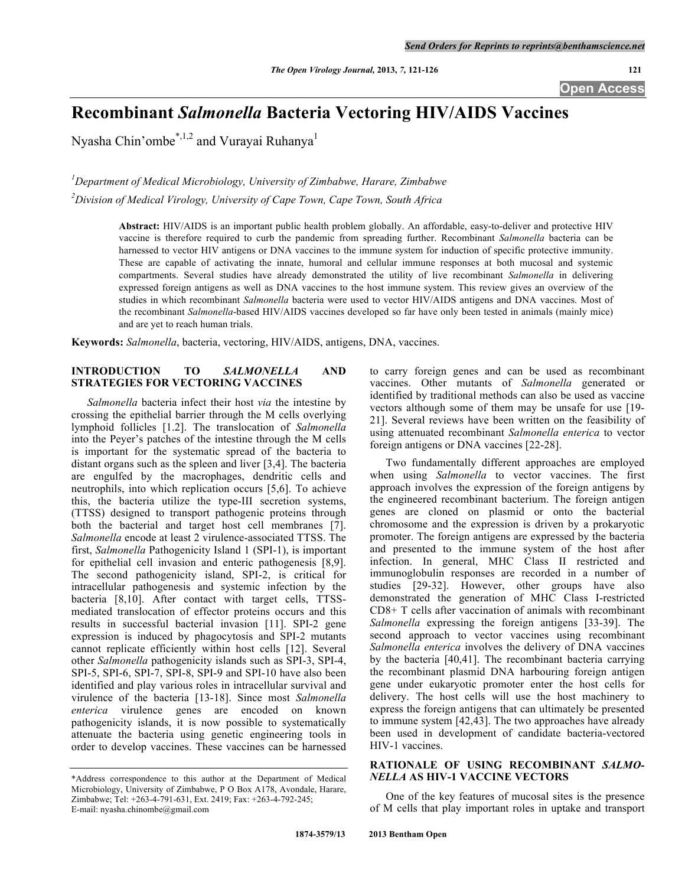**Open Access**

# **Recombinant** *Salmonella* **Bacteria Vectoring HIV/AIDS Vaccines**

Nyasha Chin'ombe<sup>\*,1,2</sup> and Vurayai Ruhanya<sup>1</sup>

*1 Department of Medical Microbiology, University of Zimbabwe, Harare, Zimbabwe*

*2 Division of Medical Virology, University of Cape Town, Cape Town, South Africa*

**Abstract:** HIV/AIDS is an important public health problem globally. An affordable, easy-to-deliver and protective HIV vaccine is therefore required to curb the pandemic from spreading further. Recombinant *Salmonella* bacteria can be harnessed to vector HIV antigens or DNA vaccines to the immune system for induction of specific protective immunity. These are capable of activating the innate, humoral and cellular immune responses at both mucosal and systemic compartments. Several studies have already demonstrated the utility of live recombinant *Salmonella* in delivering expressed foreign antigens as well as DNA vaccines to the host immune system. This review gives an overview of the studies in which recombinant *Salmonella* bacteria were used to vector HIV/AIDS antigens and DNA vaccines. Most of the recombinant *Salmonella*-based HIV/AIDS vaccines developed so far have only been tested in animals (mainly mice) and are yet to reach human trials.

**Keywords:** *Salmonella*, bacteria, vectoring, HIV/AIDS, antigens, DNA, vaccines.

## **INTRODUCTION TO** *SALMONELLA* **AND STRATEGIES FOR VECTORING VACCINES**

*Salmonella* bacteria infect their host *via* the intestine by crossing the epithelial barrier through the M cells overlying lymphoid follicles [1.2]. The translocation of *Salmonella* into the Peyer's patches of the intestine through the M cells is important for the systematic spread of the bacteria to distant organs such as the spleen and liver [3,4]. The bacteria are engulfed by the macrophages, dendritic cells and neutrophils, into which replication occurs [5,6]. To achieve this, the bacteria utilize the type-III secretion systems, (TTSS) designed to transport pathogenic proteins through both the bacterial and target host cell membranes [7]. *Salmonella* encode at least 2 virulence-associated TTSS. The first, *Salmonella* Pathogenicity Island 1 (SPI-1), is important for epithelial cell invasion and enteric pathogenesis [8,9]. The second pathogenicity island, SPI-2, is critical for intracellular pathogenesis and systemic infection by the bacteria [8,10]. After contact with target cells, TTSSmediated translocation of effector proteins occurs and this results in successful bacterial invasion [11]. SPI-2 gene expression is induced by phagocytosis and SPI-2 mutants cannot replicate efficiently within host cells [12]. Several other *Salmonella* pathogenicity islands such as SPI-3, SPI-4, SPI-5, SPI-6, SPI-7, SPI-8, SPI-9 and SPI-10 have also been identified and play various roles in intracellular survival and virulence of the bacteria [13-18]. Since most *Salmonella enterica* virulence genes are encoded on known pathogenicity islands, it is now possible to systematically attenuate the bacteria using genetic engineering tools in order to develop vaccines. These vaccines can be harnessed

to carry foreign genes and can be used as recombinant vaccines. Other mutants of *Salmonella* generated or identified by traditional methods can also be used as vaccine vectors although some of them may be unsafe for use [19- 21]. Several reviews have been written on the feasibility of using attenuated recombinant *Salmonella enterica* to vector foreign antigens or DNA vaccines [22-28].

Two fundamentally different approaches are employed when using *Salmonella* to vector vaccines. The first approach involves the expression of the foreign antigens by the engineered recombinant bacterium. The foreign antigen genes are cloned on plasmid or onto the bacterial chromosome and the expression is driven by a prokaryotic promoter. The foreign antigens are expressed by the bacteria and presented to the immune system of the host after infection. In general, MHC Class II restricted and immunoglobulin responses are recorded in a number of studies [29-32]. However, other groups have also demonstrated the generation of MHC Class I-restricted CD8+ T cells after vaccination of animals with recombinant *Salmonella* expressing the foreign antigens [33-39]. The second approach to vector vaccines using recombinant *Salmonella enterica* involves the delivery of DNA vaccines by the bacteria [40,41]. The recombinant bacteria carrying the recombinant plasmid DNA harbouring foreign antigen gene under eukaryotic promoter enter the host cells for delivery. The host cells will use the host machinery to express the foreign antigens that can ultimately be presented to immune system [42,43]. The two approaches have already been used in development of candidate bacteria-vectored HIV-1 vaccines.

# **RATIONALE OF USING RECOMBINANT** *SALMO-NELLA* **AS HIV-1 VACCINE VECTORS**

One of the key features of mucosal sites is the presence of M cells that play important roles in uptake and transport

<sup>\*</sup>Address correspondence to this author at the Department of Medical Microbiology, University of Zimbabwe, P O Box A178, Avondale, Harare, Zimbabwe; Tel: +263-4-791-631, Ext. 2419; Fax: +263-4-792-245; E-mail: nyasha.chinombe@gmail.com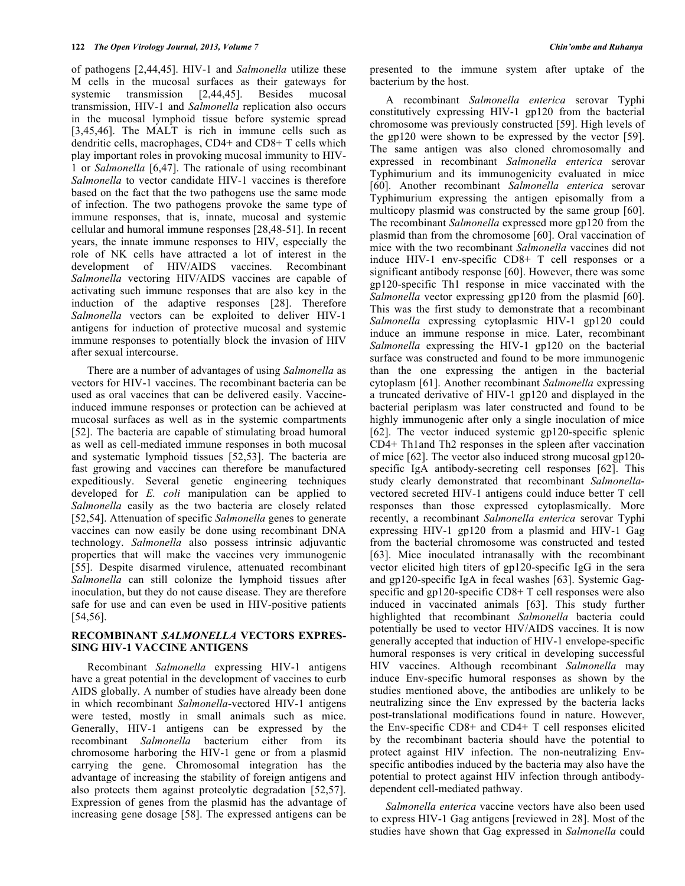of pathogens [2,44,45]. HIV-1 and *Salmonella* utilize these M cells in the mucosal surfaces as their gateways for systemic transmission [2,44,45]. Besides mucosal transmission, HIV-1 and *Salmonella* replication also occurs in the mucosal lymphoid tissue before systemic spread [3,45,46]. The MALT is rich in immune cells such as dendritic cells, macrophages, CD4+ and CD8+ T cells which play important roles in provoking mucosal immunity to HIV-1 or *Salmonella* [6,47]. The rationale of using recombinant *Salmonella* to vector candidate HIV-1 vaccines is therefore based on the fact that the two pathogens use the same mode of infection. The two pathogens provoke the same type of immune responses, that is, innate, mucosal and systemic cellular and humoral immune responses [28,48-51]. In recent years, the innate immune responses to HIV, especially the role of NK cells have attracted a lot of interest in the development of HIV/AIDS vaccines. Recombinant *Salmonella* vectoring HIV/AIDS vaccines are capable of activating such immune responses that are also key in the induction of the adaptive responses [28]. Therefore *Salmonella* vectors can be exploited to deliver HIV-1 antigens for induction of protective mucosal and systemic immune responses to potentially block the invasion of HIV after sexual intercourse.

There are a number of advantages of using *Salmonella* as vectors for HIV-1 vaccines. The recombinant bacteria can be used as oral vaccines that can be delivered easily. Vaccineinduced immune responses or protection can be achieved at mucosal surfaces as well as in the systemic compartments [52]. The bacteria are capable of stimulating broad humoral as well as cell-mediated immune responses in both mucosal and systematic lymphoid tissues [52,53]. The bacteria are fast growing and vaccines can therefore be manufactured expeditiously. Several genetic engineering techniques developed for *E. coli* manipulation can be applied to *Salmonella* easily as the two bacteria are closely related [52,54]. Attenuation of specific *Salmonella* genes to generate vaccines can now easily be done using recombinant DNA technology. *Salmonella* also possess intrinsic adjuvantic properties that will make the vaccines very immunogenic [55]. Despite disarmed virulence, attenuated recombinant *Salmonella* can still colonize the lymphoid tissues after inoculation, but they do not cause disease. They are therefore safe for use and can even be used in HIV-positive patients [54,56].

## **RECOMBINANT** *SALMONELLA* **VECTORS EXPRES-SING HIV-1 VACCINE ANTIGENS**

Recombinant *Salmonella* expressing HIV-1 antigens have a great potential in the development of vaccines to curb AIDS globally. A number of studies have already been done in which recombinant *Salmonella*-vectored HIV-1 antigens were tested, mostly in small animals such as mice. Generally, HIV-1 antigens can be expressed by the recombinant *Salmonella* bacterium either from its chromosome harboring the HIV-1 gene or from a plasmid carrying the gene. Chromosomal integration has the advantage of increasing the stability of foreign antigens and also protects them against proteolytic degradation [52,57]. Expression of genes from the plasmid has the advantage of increasing gene dosage [58]. The expressed antigens can be

presented to the immune system after uptake of the bacterium by the host.

A recombinant *Salmonella enterica* serovar Typhi constitutively expressing HIV-1 gp120 from the bacterial chromosome was previously constructed [59]. High levels of the gp120 were shown to be expressed by the vector [59]. The same antigen was also cloned chromosomally and expressed in recombinant *Salmonella enterica* serovar Typhimurium and its immunogenicity evaluated in mice [60]. Another recombinant *Salmonella enterica* serovar Typhimurium expressing the antigen episomally from a multicopy plasmid was constructed by the same group [60]. The recombinant *Salmonella* expressed more gp120 from the plasmid than from the chromosome [60]. Oral vaccination of mice with the two recombinant *Salmonella* vaccines did not induce HIV-1 env-specific CD8+ T cell responses or a significant antibody response [60]. However, there was some gp120-specific Th1 response in mice vaccinated with the *Salmonella* vector expressing gp120 from the plasmid [60]. This was the first study to demonstrate that a recombinant *Salmonella* expressing cytoplasmic HIV-1 gp120 could induce an immune response in mice. Later, recombinant *Salmonella* expressing the HIV-1 gp120 on the bacterial surface was constructed and found to be more immunogenic than the one expressing the antigen in the bacterial cytoplasm [61]. Another recombinant *Salmonella* expressing a truncated derivative of HIV-1 gp120 and displayed in the bacterial periplasm was later constructed and found to be highly immunogenic after only a single inoculation of mice [62]. The vector induced systemic gp120-specific splenic CD4+ Th1and Th2 responses in the spleen after vaccination of mice [62]. The vector also induced strong mucosal gp120 specific IgA antibody-secreting cell responses [62]. This study clearly demonstrated that recombinant *Salmonella*vectored secreted HIV-1 antigens could induce better T cell responses than those expressed cytoplasmically. More recently, a recombinant *Salmonella enterica* serovar Typhi expressing HIV-1 gp120 from a plasmid and HIV-1 Gag from the bacterial chromosome was constructed and tested [63]. Mice inoculated intranasally with the recombinant vector elicited high titers of gp120-specific IgG in the sera and gp120-specific IgA in fecal washes [63]. Systemic Gagspecific and gp120-specific CD8+ T cell responses were also induced in vaccinated animals [63]. This study further highlighted that recombinant *Salmonella* bacteria could potentially be used to vector HIV/AIDS vaccines. It is now generally accepted that induction of HIV-1 envelope-specific humoral responses is very critical in developing successful HIV vaccines. Although recombinant *Salmonella* may induce Env-specific humoral responses as shown by the studies mentioned above, the antibodies are unlikely to be neutralizing since the Env expressed by the bacteria lacks post-translational modifications found in nature. However, the Env-specific CD8+ and CD4+ T cell responses elicited by the recombinant bacteria should have the potential to protect against HIV infection. The non-neutralizing Envspecific antibodies induced by the bacteria may also have the potential to protect against HIV infection through antibodydependent cell-mediated pathway.

*Salmonella enterica* vaccine vectors have also been used to express HIV-1 Gag antigens [reviewed in 28]. Most of the studies have shown that Gag expressed in *Salmonella* could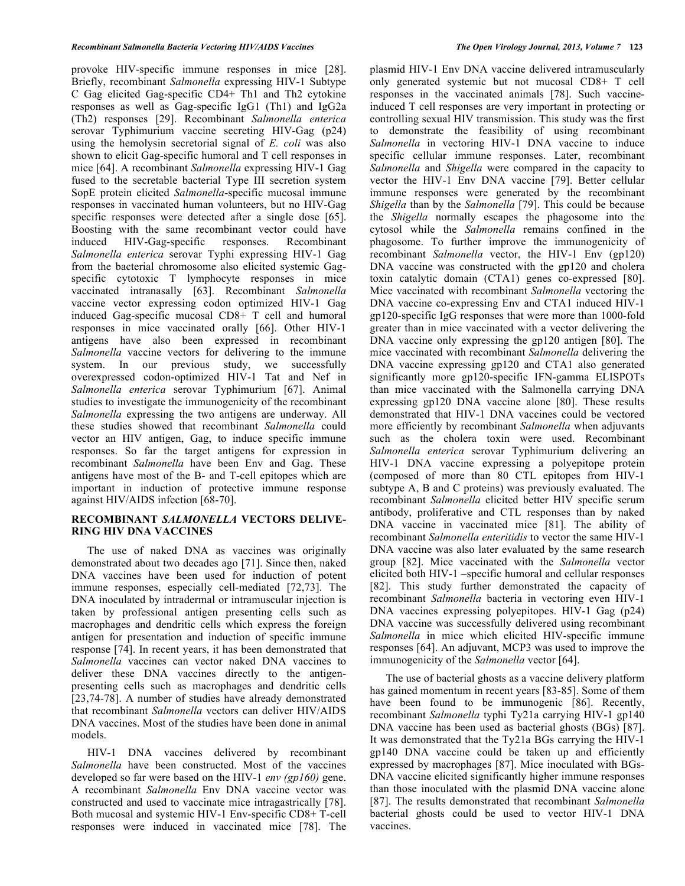provoke HIV-specific immune responses in mice [28]. Briefly, recombinant *Salmonella* expressing HIV-1 Subtype C Gag elicited Gag-specific CD4+ Th1 and Th2 cytokine responses as well as Gag-specific IgG1 (Th1) and IgG2a (Th2) responses [29]. Recombinant *Salmonella enterica* serovar Typhimurium vaccine secreting HIV-Gag (p24) using the hemolysin secretorial signal of *E. coli* was also shown to elicit Gag-specific humoral and T cell responses in mice [64]. A recombinant *Salmonella* expressing HIV-1 Gag fused to the secretable bacterial Type III secretion system SopE protein elicited *Salmonella*-specific mucosal immune responses in vaccinated human volunteers, but no HIV-Gag specific responses were detected after a single dose [65]. Boosting with the same recombinant vector could have induced HIV-Gag-specific responses. Recombinant *Salmonella enterica* serovar Typhi expressing HIV-1 Gag from the bacterial chromosome also elicited systemic Gagspecific cytotoxic T lymphocyte responses in mice vaccinated intranasally [63]. Recombinant *Salmonella* vaccine vector expressing codon optimized HIV-1 Gag induced Gag-specific mucosal CD8+ T cell and humoral responses in mice vaccinated orally [66]. Other HIV-1 antigens have also been expressed in recombinant *Salmonella* vaccine vectors for delivering to the immune system. In our previous study, we successfully overexpressed codon-optimized HIV-1 Tat and Nef in *Salmonella enterica* serovar Typhimurium [67]. Animal studies to investigate the immunogenicity of the recombinant *Salmonella* expressing the two antigens are underway. All these studies showed that recombinant *Salmonella* could vector an HIV antigen, Gag, to induce specific immune responses. So far the target antigens for expression in recombinant *Salmonella* have been Env and Gag. These antigens have most of the B- and T-cell epitopes which are important in induction of protective immune response against HIV/AIDS infection [68-70].

# **RECOMBINANT** *SALMONELLA* **VECTORS DELIVE-RING HIV DNA VACCINES**

The use of naked DNA as vaccines was originally demonstrated about two decades ago [71]. Since then, naked DNA vaccines have been used for induction of potent immune responses, especially cell-mediated [72,73]. The DNA inoculated by intradermal or intramuscular injection is taken by professional antigen presenting cells such as macrophages and dendritic cells which express the foreign antigen for presentation and induction of specific immune response [74]. In recent years, it has been demonstrated that *Salmonella* vaccines can vector naked DNA vaccines to deliver these DNA vaccines directly to the antigenpresenting cells such as macrophages and dendritic cells [23,74-78]. A number of studies have already demonstrated that recombinant *Salmonella* vectors can deliver HIV/AIDS DNA vaccines. Most of the studies have been done in animal models.

HIV-1 DNA vaccines delivered by recombinant *Salmonella* have been constructed. Most of the vaccines developed so far were based on the HIV-1 *env (gp160)* gene. A recombinant *Salmonella* Env DNA vaccine vector was constructed and used to vaccinate mice intragastrically [78]. Both mucosal and systemic HIV-1 Env-specific CD8+ T-cell responses were induced in vaccinated mice [78]. The

plasmid HIV-1 Env DNA vaccine delivered intramuscularly only generated systemic but not mucosal CD8+ T cell responses in the vaccinated animals [78]. Such vaccineinduced T cell responses are very important in protecting or controlling sexual HIV transmission. This study was the first to demonstrate the feasibility of using recombinant *Salmonella* in vectoring HIV-1 DNA vaccine to induce specific cellular immune responses. Later, recombinant *Salmonella* and *Shigella* were compared in the capacity to vector the HIV-1 Env DNA vaccine [79]. Better cellular immune responses were generated by the recombinant *Shigella* than by the *Salmonella* [79]. This could be because the *Shigella* normally escapes the phagosome into the cytosol while the *Salmonella* remains confined in the phagosome. To further improve the immunogenicity of recombinant *Salmonella* vector, the HIV-1 Env (gp120) DNA vaccine was constructed with the gp120 and cholera toxin catalytic domain (CTA1) genes co-expressed [80]. Mice vaccinated with recombinant *Salmonella* vectoring the DNA vaccine co-expressing Env and CTA1 induced HIV-1 gp120-specific IgG responses that were more than 1000-fold greater than in mice vaccinated with a vector delivering the DNA vaccine only expressing the gp120 antigen [80]. The mice vaccinated with recombinant *Salmonella* delivering the DNA vaccine expressing gp120 and CTA1 also generated significantly more gp120-specific IFN-gamma ELISPOTs than mice vaccinated with the Salmonella carrying DNA expressing gp120 DNA vaccine alone [80]. These results demonstrated that HIV-1 DNA vaccines could be vectored more efficiently by recombinant *Salmonella* when adjuvants such as the cholera toxin were used. Recombinant *Salmonella enterica* serovar Typhimurium delivering an HIV-1 DNA vaccine expressing a polyepitope protein (composed of more than 80 CTL epitopes from HIV-1 subtype A, B and C proteins) was previously evaluated. The recombinant *Salmonella* elicited better HIV specific serum antibody, proliferative and CTL responses than by naked DNA vaccine in vaccinated mice [81]. The ability of recombinant *Salmonella enteritidis* to vector the same HIV-1 DNA vaccine was also later evaluated by the same research group [82]. Mice vaccinated with the *Salmonella* vector elicited both HIV-1 –specific humoral and cellular responses [82]. This study further demonstrated the capacity of recombinant *Salmonella* bacteria in vectoring even HIV-1 DNA vaccines expressing polyepitopes. HIV-1 Gag (p24) DNA vaccine was successfully delivered using recombinant *Salmonella* in mice which elicited HIV-specific immune responses [64]. An adjuvant, MCP3 was used to improve the immunogenicity of the *Salmonella* vector [64].

The use of bacterial ghosts as a vaccine delivery platform has gained momentum in recent years [83-85]. Some of them have been found to be immunogenic [86]. Recently, recombinant *Salmonella* typhi Ty21a carrying HIV-1 gp140 DNA vaccine has been used as bacterial ghosts (BGs) [87]. It was demonstrated that the Ty21a BGs carrying the HIV-1 gp140 DNA vaccine could be taken up and efficiently expressed by macrophages [87]. Mice inoculated with BGs-DNA vaccine elicited significantly higher immune responses than those inoculated with the plasmid DNA vaccine alone [87]. The results demonstrated that recombinant *Salmonella* bacterial ghosts could be used to vector HIV-1 DNA vaccines.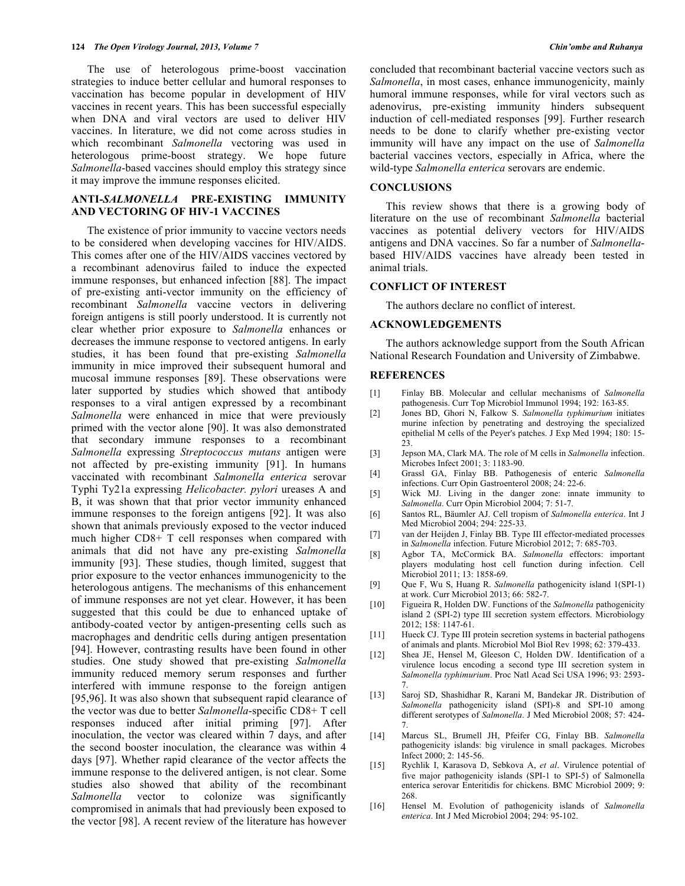The use of heterologous prime-boost vaccination strategies to induce better cellular and humoral responses to vaccination has become popular in development of HIV vaccines in recent years. This has been successful especially when DNA and viral vectors are used to deliver HIV vaccines. In literature, we did not come across studies in which recombinant *Salmonella* vectoring was used in heterologous prime-boost strategy. We hope future *Salmonella*-based vaccines should employ this strategy since it may improve the immune responses elicited.

# **ANTI-***SALMONELLA* **PRE-EXISTING IMMUNITY AND VECTORING OF HIV-1 VACCINES**

The existence of prior immunity to vaccine vectors needs to be considered when developing vaccines for HIV/AIDS. This comes after one of the HIV/AIDS vaccines vectored by a recombinant adenovirus failed to induce the expected immune responses, but enhanced infection [88]. The impact of pre-existing anti-vector immunity on the efficiency of recombinant *Salmonella* vaccine vectors in delivering foreign antigens is still poorly understood. It is currently not clear whether prior exposure to *Salmonella* enhances or decreases the immune response to vectored antigens. In early studies, it has been found that pre-existing *Salmonella* immunity in mice improved their subsequent humoral and mucosal immune responses [89]. These observations were later supported by studies which showed that antibody responses to a viral antigen expressed by a recombinant *Salmonella* were enhanced in mice that were previously primed with the vector alone [90]. It was also demonstrated that secondary immune responses to a recombinant *Salmonella* expressing *Streptococcus mutans* antigen were not affected by pre-existing immunity [91]. In humans vaccinated with recombinant *Salmonella enterica* serovar Typhi Ty21a expressing *Helicobacter. pylori* ureases A and B, it was shown that that prior vector immunity enhanced immune responses to the foreign antigens [92]. It was also shown that animals previously exposed to the vector induced much higher CD8+ T cell responses when compared with animals that did not have any pre-existing *Salmonella* immunity [93]. These studies, though limited, suggest that prior exposure to the vector enhances immunogenicity to the heterologous antigens. The mechanisms of this enhancement of immune responses are not yet clear. However, it has been suggested that this could be due to enhanced uptake of antibody-coated vector by antigen-presenting cells such as macrophages and dendritic cells during antigen presentation [94]. However, contrasting results have been found in other studies. One study showed that pre-existing *Salmonella* immunity reduced memory serum responses and further interfered with immune response to the foreign antigen [95,96]. It was also shown that subsequent rapid clearance of the vector was due to better *Salmonella*-specific CD8+ T cell responses induced after initial priming [97]. After inoculation, the vector was cleared within 7 days, and after the second booster inoculation, the clearance was within 4 days [97]. Whether rapid clearance of the vector affects the immune response to the delivered antigen, is not clear. Some studies also showed that ability of the recombinant *Salmonella* vector to colonize was significantly compromised in animals that had previously been exposed to the vector [98]. A recent review of the literature has however

concluded that recombinant bacterial vaccine vectors such as *Salmonella*, in most cases, enhance immunogenicity, mainly humoral immune responses, while for viral vectors such as adenovirus, pre-existing immunity hinders subsequent induction of cell-mediated responses [99]. Further research needs to be done to clarify whether pre-existing vector immunity will have any impact on the use of *Salmonella* bacterial vaccines vectors, especially in Africa, where the wild-type *Salmonella enterica* serovars are endemic.

## **CONCLUSIONS**

This review shows that there is a growing body of literature on the use of recombinant *Salmonella* bacterial vaccines as potential delivery vectors for HIV/AIDS antigens and DNA vaccines. So far a number of *Salmonella*based HIV/AIDS vaccines have already been tested in animal trials.

#### **CONFLICT OF INTEREST**

The authors declare no conflict of interest.

#### **ACKNOWLEDGEMENTS**

The authors acknowledge support from the South African National Research Foundation and University of Zimbabwe.

#### **REFERENCES**

- [1] Finlay BB. Molecular and cellular mechanisms of *Salmonella* pathogenesis. Curr Top Microbiol Immunol 1994; 192: 163-85.
- [2] Jones BD, Ghori N, Falkow S. *Salmonella typhimurium* initiates murine infection by penetrating and destroying the specialized epithelial M cells of the Peyer's patches. J Exp Med 1994; 180: 15- 23.
- [3] Jepson MA, Clark MA. The role of M cells in *Salmonella* infection. Microbes Infect 2001; 3: 1183-90.
- [4] Grassl GA, Finlay BB. Pathogenesis of enteric *Salmonella* infections. Curr Opin Gastroenterol 2008; 24: 22-6.
- [5] Wick MJ. Living in the danger zone: innate immunity to *Salmonella*. Curr Opin Microbiol 2004; 7: 51-7.
- [6] Santos RL, Bäumler AJ. Cell tropism of *Salmonella enterica*. Int J Med Microbiol 2004; 294: 225-33.
- [7] van der Heijden J, Finlay BB. Type III effector-mediated processes in *Salmonella* infection. Future Microbiol 2012; 7: 685-703.
- [8] Agbor TA, McCormick BA. *Salmonella* effectors: important players modulating host cell function during infection. Cell Microbiol 2011; 13: 1858-69.
- [9] Que F, Wu S, Huang R. *Salmonella* pathogenicity island 1(SPI-1) at work. Curr Microbiol 2013; 66: 582-7.
- [10] Figueira R, Holden DW. Functions of the *Salmonella* pathogenicity island 2 (SPI-2) type III secretion system effectors. Microbiology 2012; 158: 1147-61.
- [11] Hueck CJ. Type III protein secretion systems in bacterial pathogens of animals and plants. Microbiol Mol Biol Rev 1998; 62: 379-433.
- [12] Shea JE, Hensel M, Gleeson C, Holden DW. Identification of a virulence locus encoding a second type III secretion system in *Salmonella typhimurium*. Proc Natl Acad Sci USA 1996; 93: 2593- 7.
- [13] Saroj SD, Shashidhar R, Karani M, Bandekar JR. Distribution of *Salmonella* pathogenicity island (SPI)-8 and SPI-10 among different serotypes of *Salmonella*. J Med Microbiol 2008; 57: 424- 7.
- [14] Marcus SL, Brumell JH, Pfeifer CG, Finlay BB. *Salmonella* pathogenicity islands: big virulence in small packages. Microbes Infect 2000; 2: 145-56.
- [15] Rychlik I, Karasova D, Sebkova A, *et al*. Virulence potential of five major pathogenicity islands (SPI-1 to SPI-5) of Salmonella enterica serovar Enteritidis for chickens. BMC Microbiol 2009; 9: 268.
- [16] Hensel M. Evolution of pathogenicity islands of *Salmonella enterica*. Int J Med Microbiol 2004; 294: 95-102.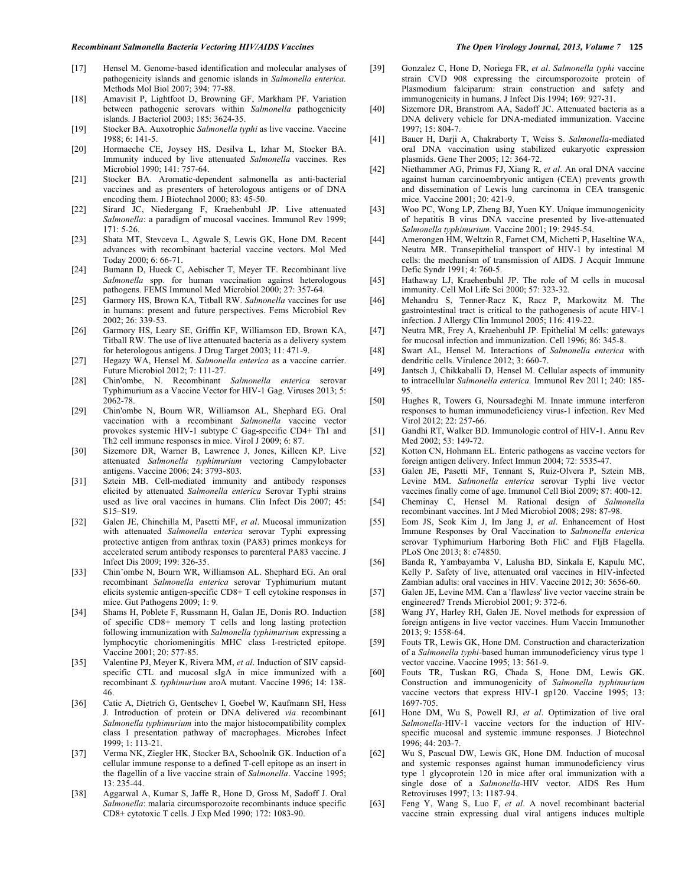- [18] Amavisit P, Lightfoot D, Browning GF, Markham PF. Variation between pathogenic serovars within *Salmonella* pathogenicity islands. J Bacteriol 2003; 185: 3624-35.
- [19] Stocker BA. Auxotrophic *Salmonella typhi* as live vaccine. Vaccine 1988; 6: 141-5.
- [20] Hormaeche CE, Joysey HS, Desilva L, Izhar M, Stocker BA. Immunity induced by live attenuated *Salmonella* vaccines. Res Microbiol 1990; 141: 757-64.
- [21] Stocker BA. Aromatic-dependent salmonella as anti-bacterial vaccines and as presenters of heterologous antigens or of DNA encoding them. J Biotechnol 2000; 83: 45-50.
- [22] Sirard JC, Niedergang F, Kraehenbuhl JP. Live attenuated *Salmonella*: a paradigm of mucosal vaccines. Immunol Rev 1999; 171: 5-26.
- [23] Shata MT, Stevceva L, Agwale S, Lewis GK, Hone DM. Recent advances with recombinant bacterial vaccine vectors. Mol Med Today 2000; 6: 66-71.
- [24] Bumann D, Hueck C, Aebischer T, Meyer TF. Recombinant live *Salmonella* spp. for human vaccination against heterologous pathogens. FEMS Immunol Med Microbiol 2000; 27: 357-64.
- [25] Garmory HS, Brown KA, Titball RW. *Salmonella* vaccines for use in humans: present and future perspectives. Fems Microbiol Rev  $2002 \cdot 26 \cdot 339 - 53$
- [26] Garmory HS, Leary SE, Griffin KF, Williamson ED, Brown KA, Titball RW. The use of live attenuated bacteria as a delivery system for heterologous antigens. J Drug Target 2003; 11: 471-9.
- [27] Hegazy WA, Hensel M. *Salmonella enterica* as a vaccine carrier. Future Microbiol 2012; 7: 111-27.
- [28] Chin'ombe, N. Recombinant *Salmonella enterica* serovar Typhimurium as a Vaccine Vector for HIV-1 Gag. Viruses 2013; 5: 2062-78.
- [29] Chin'ombe N, Bourn WR, Williamson AL, Shephard EG. Oral vaccination with a recombinant *Salmonella* vaccine vector provokes systemic HIV-1 subtype C Gag-specific CD4+ Th1 and Th2 cell immune responses in mice. Virol J 2009; 6: 87.
- [30] Sizemore DR, Warner B, Lawrence J, Jones, Killeen KP. Live attenuated *Salmonella typhimurium* vectoring Campylobacter antigens. Vaccine 2006; 24: 3793-803.
- [31] Sztein MB. Cell-mediated immunity and antibody responses elicited by attenuated *Salmonella enterica* Serovar Typhi strains used as live oral vaccines in humans. Clin Infect Dis 2007; 45: S15–S19.
- [32] Galen JE, Chinchilla M, Pasetti MF, *et al*. Mucosal immunization with attenuated *Salmonella enterica* serovar Typhi expressing protective antigen from anthrax toxin (PA83) primes monkeys for accelerated serum antibody responses to parenteral PA83 vaccine. J Infect Dis 2009; 199: 326-35.
- [33] Chin'ombe N, Bourn WR, Williamson AL. Shephard EG. An oral recombinant *Salmonella enterica* serovar Typhimurium mutant elicits systemic antigen-specific CD8+ T cell cytokine responses in mice. Gut Pathogens 2009; 1: 9.
- [34] Shams H, Poblete F, Russmann H, Galan JE, Donis RO. Induction of specific CD8+ memory T cells and long lasting protection following immunization with *Salmonella typhimurium* expressing a lymphocytic choriomeningitis MHC class I-restricted epitope. Vaccine 2001; 20: 577-85.
- [35] Valentine PJ, Meyer K, Rivera MM, *et al*. Induction of SIV capsidspecific CTL and mucosal sIgA in mice immunized with a recombinant *S. typhimurium* aroA mutant. Vaccine 1996; 14: 138- 46.
- [36] Catic A, Dietrich G, Gentschev I, Goebel W, Kaufmann SH, Hess J. Introduction of protein or DNA delivered *via* recombinant *Salmonella typhimurium* into the major histocompatibility complex class I presentation pathway of macrophages. Microbes Infect 1999; 1: 113-21.
- [37] Verma NK, Ziegler HK, Stocker BA, Schoolnik GK. Induction of a cellular immune response to a defined T-cell epitope as an insert in the flagellin of a live vaccine strain of *Salmonella*. Vaccine 1995; 13: 235-44.
- [38] Aggarwal A, Kumar S, Jaffe R, Hone D, Gross M, Sadoff J. Oral *Salmonella*: malaria circumsporozoite recombinants induce specific CD8+ cytotoxic T cells. J Exp Med 1990; 172: 1083-90.
- 
- [39] Gonzalez C, Hone D, Noriega FR, *et al*. *Salmonella typhi* vaccine strain CVD 908 expressing the circumsporozoite protein of Plasmodium falciparum: strain construction and safety and immunogenicity in humans. J Infect Dis 1994; 169: 927-31.
- [40] Sizemore DR, Branstrom AA, Sadoff JC. Attenuated bacteria as a DNA delivery vehicle for DNA-mediated immunization. Vaccine 1997; 15: 804-7.
- [41] Bauer H, Darji A, Chakraborty T, Weiss S. *Salmonella*-mediated oral DNA vaccination using stabilized eukaryotic expression plasmids. Gene Ther 2005; 12: 364-72.
- [42] Niethammer AG, Primus FJ, Xiang R, *et al*. An oral DNA vaccine against human carcinoembryonic antigen (CEA) prevents growth and dissemination of Lewis lung carcinoma in CEA transgenic mice. Vaccine 2001; 20: 421-9.
- [43] Woo PC, Wong LP, Zheng BJ, Yuen KY. Unique immunogenicity of hepatitis B virus DNA vaccine presented by live-attenuated *Salmonella typhimurium.* Vaccine 2001; 19: 2945-54.
- [44] Amerongen HM, Weltzin R, Farnet CM, Michetti P, Haseltine WA, Neutra MR. Transepithelial transport of HIV-1 by intestinal M cells: the mechanism of transmission of AIDS. J Acquir Immune Defic Syndr 1991; 4: 760-5.
- [45] Hathaway LJ, Kraehenbuhl JP. The role of M cells in mucosal immunity. Cell Mol Life Sci 2000; 57: 323-32.
- [46] Mehandru S, Tenner-Racz K, Racz P, Markowitz M. The gastrointestinal tract is critical to the pathogenesis of acute HIV-1 infection. J Allergy Clin Immunol 2005; 116: 419-22.
- [47] Neutra MR, Frey A, Kraehenbuhl JP. Epithelial M cells: gateways for mucosal infection and immunization. Cell 1996; 86: 345-8.
- [48] Swart AL, Hensel M. Interactions of *Salmonella enterica* with dendritic cells. Virulence 2012; 3: 660-7.
- [49] Jantsch J, Chikkaballi D, Hensel M. Cellular aspects of immunity to intracellular *Salmonella enterica.* Immunol Rev 2011; 240: 185- 95.
- [50] Hughes R, Towers G, Noursadeghi M. Innate immune interferon responses to human immunodeficiency virus-1 infection. Rev Med Virol 2012; 22: 257-66.
- [51] Gandhi RT, Walker BD. Immunologic control of HIV-1. Annu Rev Med 2002: 53: 149-72.
- [52] Kotton CN, Hohmann EL. Enteric pathogens as vaccine vectors for foreign antigen delivery. Infect Immun 2004; 72: 5535-47.
- [53] Galen JE, Pasetti MF, Tennant S, Ruiz-Olvera P, Sztein MB, Levine MM. *Salmonella enterica* serovar Typhi live vector vaccines finally come of age. Immunol Cell Biol 2009; 87: 400-12.
- [54] Cheminay C, Hensel M. Rational design of *Salmonella* recombinant vaccines. Int J Med Microbiol 2008; 298: 87-98.
- [55] Eom JS, Seok Kim J, Im Jang J, *et al*. Enhancement of Host Immune Responses by Oral Vaccination to *Salmonella enterica* serovar Typhimurium Harboring Both FliC and FljB Flagella. PLoS One 2013; 8: e74850.
- [56] Banda R, Yambayamba V, Lalusha BD, Sinkala E, Kapulu MC, Kelly P. Safety of live, attenuated oral vaccines in HIV-infected Zambian adults: oral vaccines in HIV. Vaccine 2012; 30: 5656-60.
- [57] Galen JE, Levine MM. Can a 'flawless' live vector vaccine strain be engineered? Trends Microbiol 2001; 9: 372-6.
- [58] Wang JY, Harley RH, Galen JE. Novel methods for expression of foreign antigens in live vector vaccines. Hum Vaccin Immunother 2013; 9: 1558-64.
- [59] Fouts TR, Lewis GK, Hone DM. Construction and characterization of a *Salmonella typhi*-based human immunodeficiency virus type 1 vector vaccine. Vaccine 1995; 13: 561-9.
- [60] Fouts TR, Tuskan RG, Chada S, Hone DM, Lewis GK. Construction and immunogenicity of *Salmonella typhimurium* vaccine vectors that express HIV-1 gp120. Vaccine 1995; 13: 1697-705.
- [61] Hone DM, Wu S, Powell RJ, *et al*. Optimization of live oral *Salmonella*-HIV-1 vaccine vectors for the induction of HIVspecific mucosal and systemic immune responses. J Biotechnol 1996; 44: 203-7.
- [62] Wu S, Pascual DW, Lewis GK, Hone DM. Induction of mucosal and systemic responses against human immunodeficiency virus type 1 glycoprotein 120 in mice after oral immunization with a single dose of a *Salmonella*-HIV vector. AIDS Res Hum Retroviruses 1997; 13: 1187-94.
- [63] Feng Y, Wang S, Luo F, *et al*. A novel recombinant bacterial vaccine strain expressing dual viral antigens induces multiple